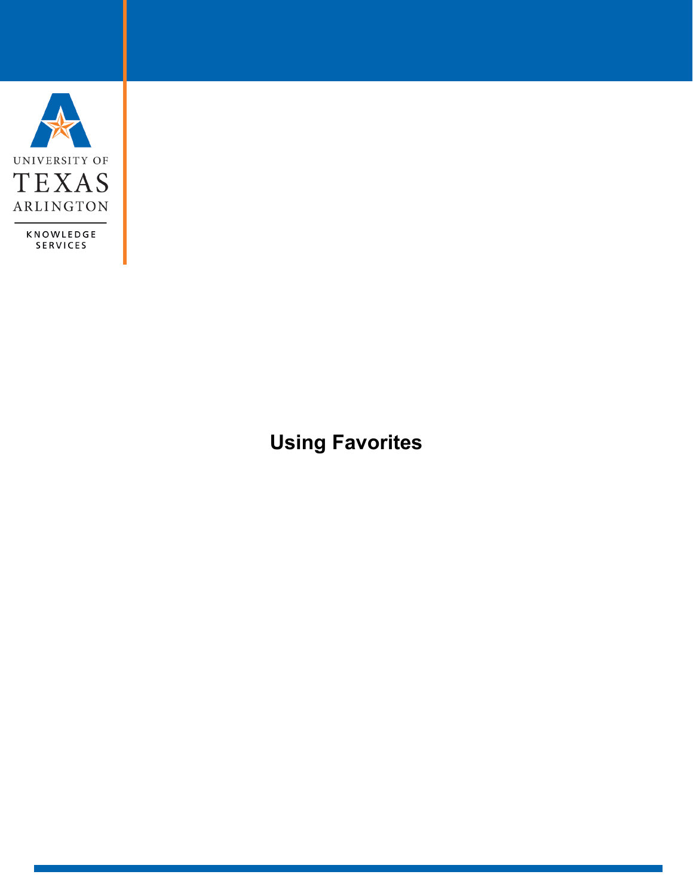

**Using Favorites**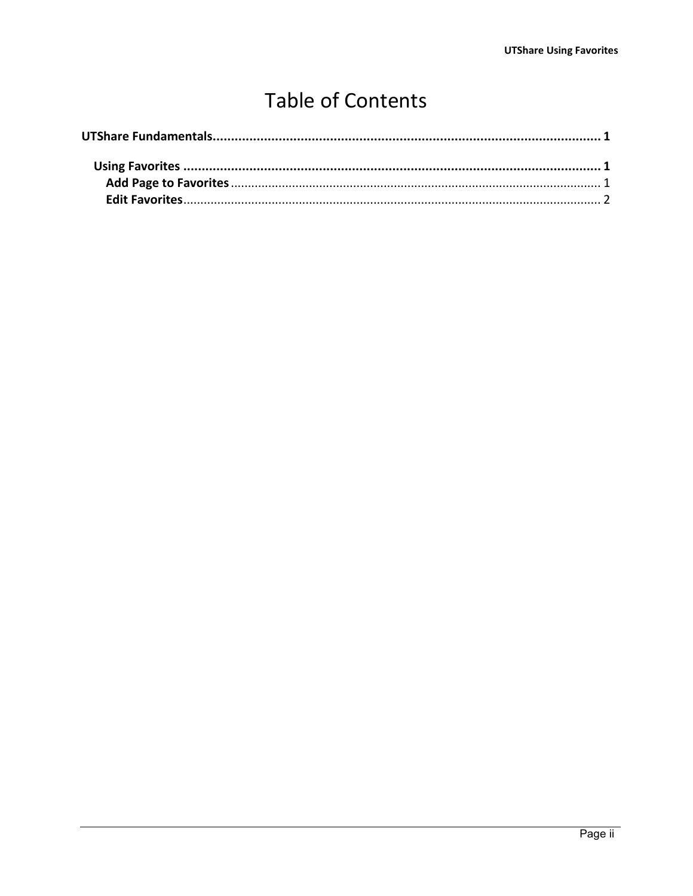# **Table of Contents**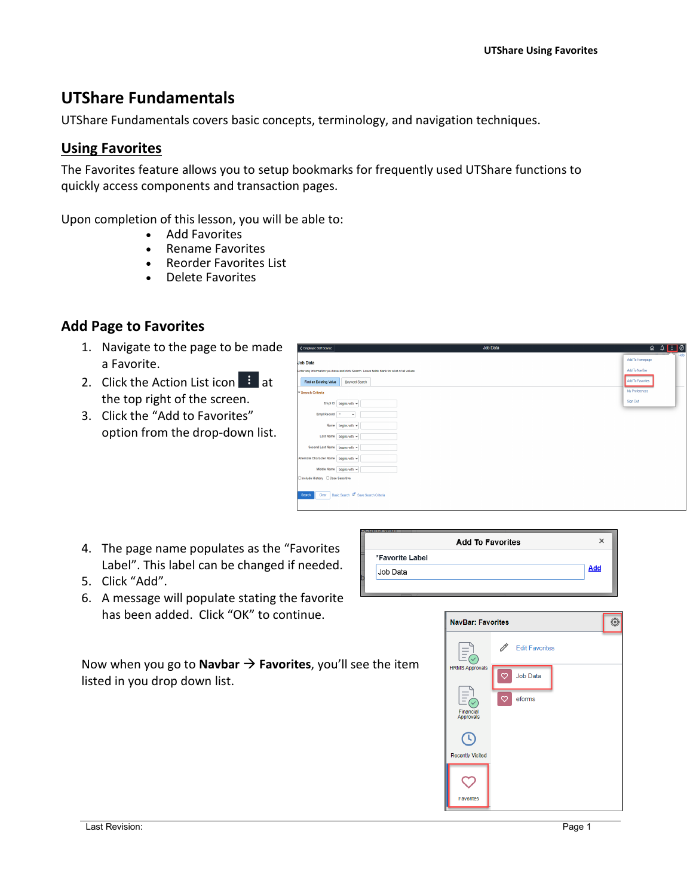## <span id="page-2-0"></span>**UTShare Fundamentals**

UTShare Fundamentals covers basic concepts, terminology, and navigation techniques.

#### <span id="page-2-1"></span>**Using Favorites**

The Favorites feature allows you to setup bookmarks for frequently used UTShare functions to quickly access components and transaction pages.

Upon completion of this lesson, you will be able to:

- Add Favorites
- Rename Favorites
- Reorder Favorites List
- Delete Favorites

### <span id="page-2-2"></span>**Add Page to Favorites**

- 1. Navigate to the page to be made a Favorite.
- 2. Click the Action List icon  $\mathbf{B}$  at the top right of the screen.
- 3. Click the "Add to Favorites" option from the drop-down list.

| < Employee Self Service                  | Job Data                                                                                      | $@ 4 \Box @$     |      |
|------------------------------------------|-----------------------------------------------------------------------------------------------|------------------|------|
| <b>Job Data</b>                          |                                                                                               | Add To Homepage  | Help |
|                                          | Enter any information you have and click Search. Leave fields blank for a list of all values. | Add To NavBar    |      |
| Find an Existing Value                   | Keyword Search                                                                                | Add To Favorites |      |
| Search Criteria                          |                                                                                               | My Preferences   |      |
|                                          | Empl ID   begins with $\sim$                                                                  | Sign Out         |      |
| Empl Record $=$                          | $\checkmark$                                                                                  |                  |      |
|                                          | Name begins with v                                                                            |                  |      |
|                                          | Last Name begins with v                                                                       |                  |      |
| Second Last Name begins with v           |                                                                                               |                  |      |
| Alternate Character Name   begins with v |                                                                                               |                  |      |
|                                          | Middle Name begins with v                                                                     |                  |      |
| □Include History □ Case Sensitive        |                                                                                               |                  |      |
| Search<br>Clear                          | Basic Search <sup>&amp;</sup> Save Search Criteria                                            |                  |      |

- 4. The page name populates as the "Favorites Label". This label can be changed if needed.
- 5. Click "Add".
- 6. A message will populate stating the favorite has been added. Click "OK" to continue.



Now when you go to **Navbar Favorites**, you'll see the item listed in you drop down list.